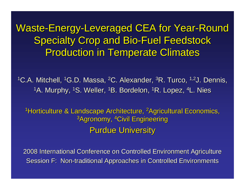Waste-Energy-Leveraged CEA for Year-Round **Specialty Crop and Bio-Fuel Feedstock Production in Temperate Climates** 

<sup>1</sup>C.A. Mitchell, <sup>1</sup>G.D. Massa, <sup>2</sup>C. Alexander, <sup>3</sup>R. Turco, <sup>1,2</sup>J. Dennis, <sup>1</sup>A. Murphy, <sup>1</sup>S. Weller, <sup>1</sup>B. Bordelon, <sup>1</sup>R. Lopez, <sup>4</sup>L. Nies

<sup>1</sup>Horticulture & Landscape Architecture, <sup>2</sup>Agricultural Economics, <sup>3</sup>Agronomy, <sup>4</sup>Civil Engineering **Purdue University** 

2008 International Conference on Controlled Environment Agriculture Session F: Non-traditional Approaches in Controlled Environments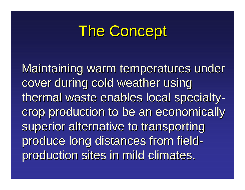# The Concept

Maintaining warm temperatures under cover during cold weather using thermal waste enables local specialty crop production to be an economically superior alternative to transporting produce long distances from field production sites in mild climates.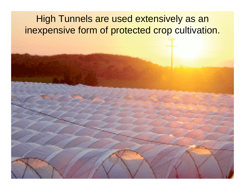#### High Tunnels are used extensively as an inexpensive form of protected crop cultivation.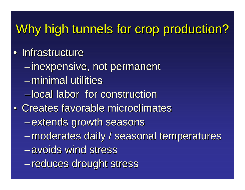## Why high tunnels for crop production?

- Infrastructure
	- –inexpensive, not permanent inexpensive, not permanent
	- –minimal utilities
	- –local labor for construction
- Creates favorable microclimates
	- $-$ extends growth seasons
	- –moderates daily / seasonal temperatures moderates daily / seasonal temperatures
	- –avoids wind stress
	- –reduces drought stress reduces drought stress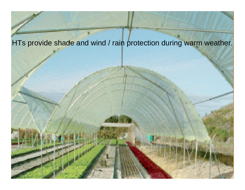#### HTs provide shade and wind / rain protection during warm weather.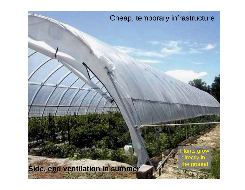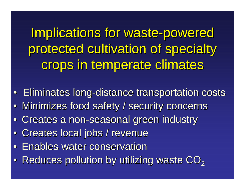Implications for waste-powered protected cultivation of specialty crops in temperate climates

- Eliminates long-distance transportation costs
- Minimizes food safety / security concerns
- Creates a non-seasonal green industry
- Creates local jobs / revenue
- Enables water conservation
- $\bullet\,$  Reduces pollution by utilizing waste CO $_2$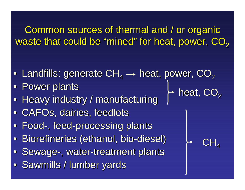Common sources of thermal and / or organic waste that could be "mined " for heat, power,  $\mathbf{CO}_{\mathbf{2}}$ 

 $\mathsf{CH}_4$ 

heat, CO $_2$ 

- Landfills: generate CH<sub>4</sub>  $\rightarrow$  heat, power, CO<sub>2</sub>
- Power plants
- Heavy industry / manufacturing
- CAFOs, dairies, feedlots
- Food-, feed-processing plants
- Biorefineries (ethanol, bio-diesel)
- Sewage-, water-treatment plants
- Sawmills / lumber yards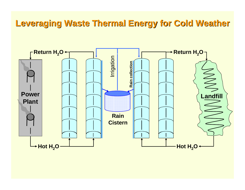#### **Leveraging Waste Thermal Energy for Cold Weather Leveraging Waste Thermal Energy for Cold Weather**

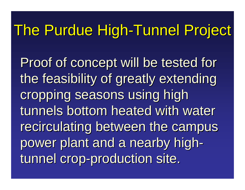# The Purdue High-Tunnel Project

Proof of concept will be tested for the feasibility of greatly extending cropping seasons using high tunnels bottom heated with water recirculating between the campus power plant and a nearby high tunnel crop-production site.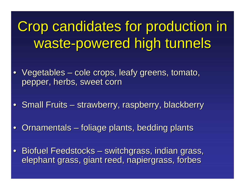Crop candidates for production in Crop candidates for production in waste-powered high tunnels

- $\bullet\,$  Vegetables  $\cdot$ en al control de la control de – cole crops, leafy greens, tomato, pepper, herbs, sweet corn
- Small Fruits en al control de la control de – strawberry, raspberry, blackberry
- Ornamentals –– foliage plants, bedding plants
- Biofuel Feedstocks – switchgrass, indian grass, elephant grass, giant reed, napiergrass, forbes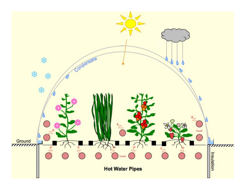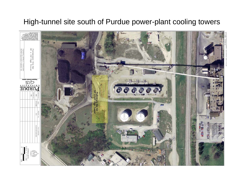#### High-tunnel site south of Purdue power-plant cooling towers

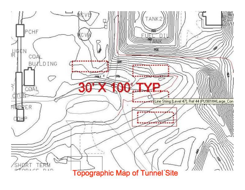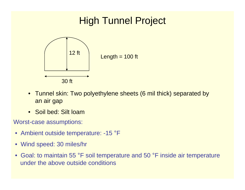

- $\bullet$ Tunnel skin: Two poly ethylene sheets (6 mil thick) separated by an air gap
- Soil bed: Silt loam
- Worst-case assumptions:
	- Ambient outside temperature: -15 ° $\mathrm{^{\circ}F}$
	- Wind speed: 30 miles/hr
	- Goal: to m aintain 55 °F soil temperature and 50 °<sup>o</sup>F inside air temperature under the above outside conditions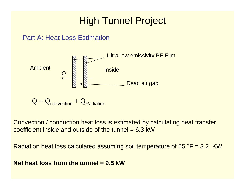#### Part A: Heat Loss Estimation



$$
Q = Q_{convection} + Q_{Radiation}
$$

Convection / conduction heat loss is estimated by calculating heat transfer coefficient inside and outside of the tunnel  $= 6.3$  kW

Radiation heat loss calculated assuming soil temperature of 55 °F = 3.2 KW

#### **Net heat loss from the tunnel = 9.5 kW**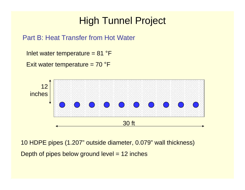#### Part B: Heat Transfer from Hot Water

Inlet water temperature = 81 ° $\mathsf{P}\mathsf{F}$ 

Exit water temperature = 70 ° $\mathsf{P}\mathsf{F}$ 



10 HDPE pipes (1.207" outside diameter, 0.079" wall thickness) Depth of pipes below ground level = 12 inches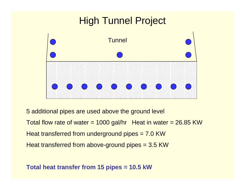

5 additional pipes are used above the ground level

Total flow rate of water  $= 1000$  gal/hr Heat in water  $= 26.85$  KW Heat transferred from underground pipes = 7.0 KW

Heat transferred from above-ground pipes = 3.5 KW

#### **Total heat transfer from 15 pipes = 10.5 kW**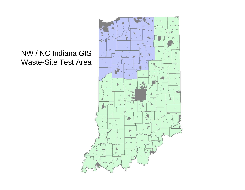#### NW / NC Indiana GIS Waste-Site Test Area

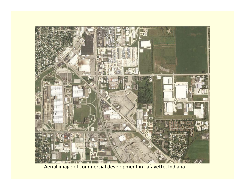

Aerial image of commercial development in Lafayette, Indiana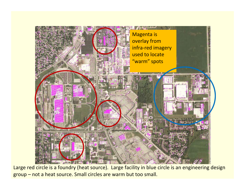

Large red circle is <sup>a</sup> foundry (heat source). Large facility in blue circle is an engineering design group – not <sup>a</sup> heat source. Small circles are warm but too small.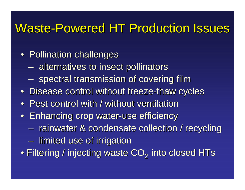## Waste-Powered HT Production Issues

- $\bullet\,$  Pollination challenges
	- $-$  alternatives to insect pollinators
	- $\mathcal{L}_{\mathcal{A}}$  , where  $\mathcal{L}_{\mathcal{A}}$  is the set of the set of the set of the set of the set of the set of the set of the set of the set of the set of the set of the set of the set of the set of the set of the set of the  $- \,$  spectral transmission of covering film
- Disease control without freeze-thaw cycles
- $\bullet$ • Pest control with / without ventilation
- Enhancing crop water-use efficiency
	- $\mathcal{L}_{\mathcal{A}}$  , where  $\mathcal{L}_{\mathcal{A}}$  is the set of the set of the set of the set of the set of the set of the set of the set of the set of the set of the set of the set of the set of the set of the set of the set of the - rainwater & condensate collection / recycling
	- – $-$  limited use of irrigation
- $\bullet$  Filtering / injecting waste CO $_2$  into closed HTs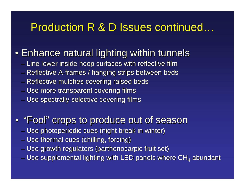### Production R & D Issues continued...

### $\bullet$  Enhance natural lighting within tunnels

- Line lower inside hoop surfaces with reflective film
- Reflective A-frames / hanging strips between beds
- Reflective mulches covering raised beds
- Use more transparent covering films
- Use spectrally selective covering films

### • "Fool " crops to produce out of season crops to produce out of season

- Use photoperiodic cues (night break in winter)
- Use thermal cues (chilling, forcing)
- Use growth regulators (parthenocarpic fruit set)
- Use supplemental lighting with LED panels where CH<sub>4</sub> abundant